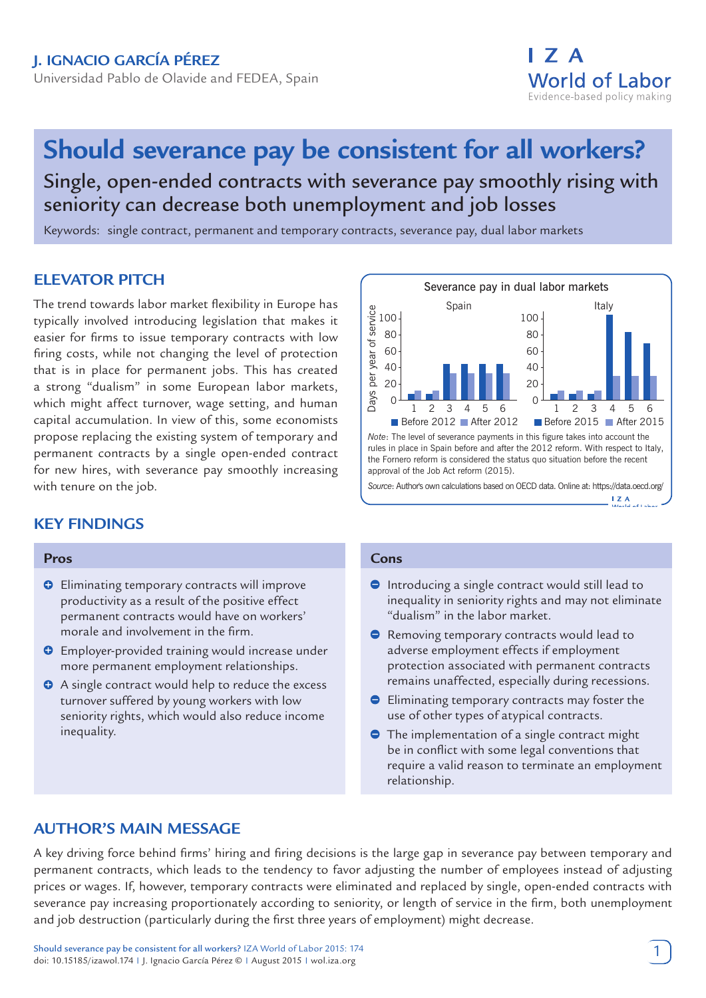# **Should severance pay be consistent for all workers?** Single, open-ended contracts with severance pay smoothly rising with seniority can decrease both unemployment and job losses

Keywords: single contract, permanent and temporary contracts, severance pay, dual labor markets

# **ELEVATOR PITCH**

The trend towards labor market flexibility in Europe has typically involved introducing legislation that makes it easier for firms to issue temporary contracts with low firing costs, while not changing the level of protection that is in place for permanent jobs. This has created a strong "dualism" in some European labor markets, which might affect turnover, wage setting, and human capital accumulation. In view of this, some economists propose replacing the existing system of temporary and permanent contracts by a single open-ended contract for new hires, with severance pay smoothly increasing with tenure on the job.

# **KEY FINDINGS**

#### **Pros**

- $\Theta$  Eliminating temporary contracts will improve productivity as a result of the positive effect permanent contracts would have on workers' morale and involvement in the firm.
- **O** Employer-provided training would increase under more permanent employment relationships.
- A single contract would help to reduce the excess turnover suffered by young workers with low seniority rights, which would also reduce income inequality.



**Source: Author's own calculations based on OECD data. Online at: https://data.oecd.org/<br>- LZA Model of Labor Puller (1 about 2 A)** 

#### **Cons**

- Introducing a single contract would still lead to inequality in seniority rights and may not eliminate "dualism" in the labor market.
- **•** Removing temporary contracts would lead to adverse employment effects if employment protection associated with permanent contracts remains unaffected, especially during recessions.
- **Eliminating temporary contracts may foster the** use of other types of atypical contracts.
- **●** The implementation of a single contract might be in conflict with some legal conventions that require a valid reason to terminate an employment relationship.

# **AUTHOR'S MAIN MESSAGE**

A key driving force behind firms' hiring and firing decisions is the large gap in severance pay between temporary and permanent contracts, which leads to the tendency to favor adjusting the number of employees instead of adjusting prices or wages. If, however, temporary contracts were eliminated and replaced by single, open-ended contracts with severance pay increasing proportionately according to seniority, or length of service in the firm, both unemployment and job destruction (particularly during the first three years of employment) might decrease.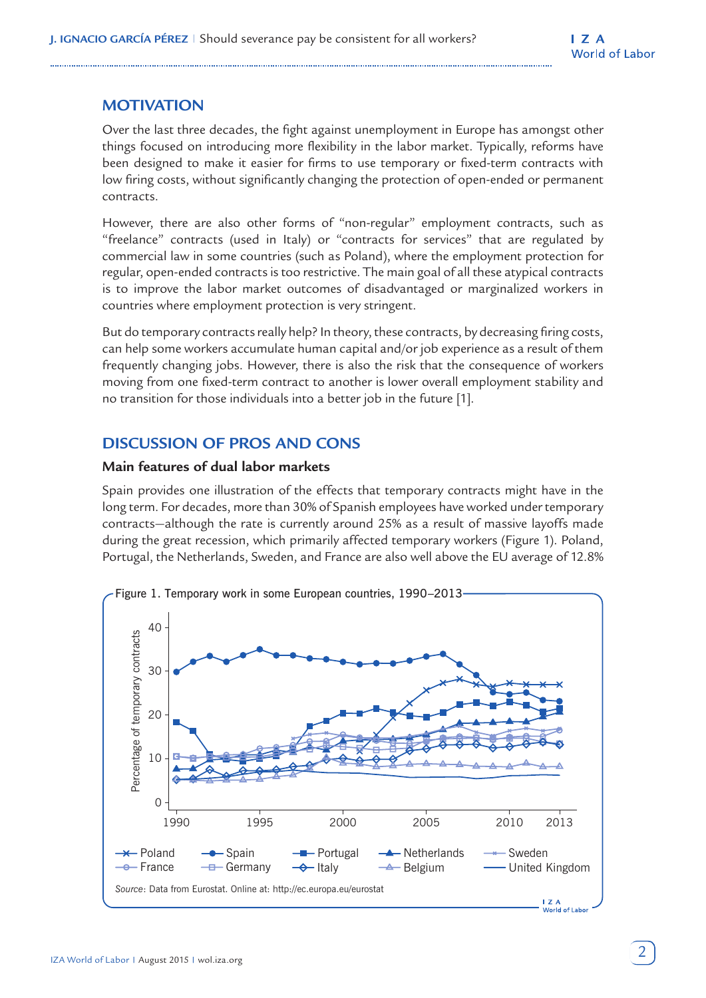# **MOTIVATION**

Over the last three decades, the fight against unemployment in Europe has amongst other things focused on introducing more flexibility in the labor market. Typically, reforms have been designed to make it easier for firms to use temporary or fixed-term contracts with low firing costs, without significantly changing the protection of open-ended or permanent contracts.

However, there are also other forms of "non-regular" employment contracts, such as "freelance" contracts (used in Italy) or "contracts for services" that are regulated by commercial law in some countries (such as Poland), where the employment protection for regular, open-ended contracts is too restrictive. The main goal of all these atypical contracts is to improve the labor market outcomes of disadvantaged or marginalized workers in countries where employment protection is very stringent.

But do temporary contracts really help? In theory, these contracts, by decreasing firing costs, can help some workers accumulate human capital and/or job experience as a result of them frequently changing jobs. However, there is also the risk that the consequence of workers moving from one fixed-term contract to another is lower overall employment stability and no transition for those individuals into a better job in the future [1].

# **DISCUSSION OF PROS AND CONS**

#### **Main features of dual labor markets**

Spain provides one illustration of the effects that temporary contracts might have in the long term. For decades, more than 30% of Spanish employees have worked under temporary contracts—although the rate is currently around 25% as a result of massive layoffs made during the great recession, which primarily affected temporary workers (Figure 1). Poland, Portugal, the Netherlands, Sweden, and France are also well above the EU average of 12.8%

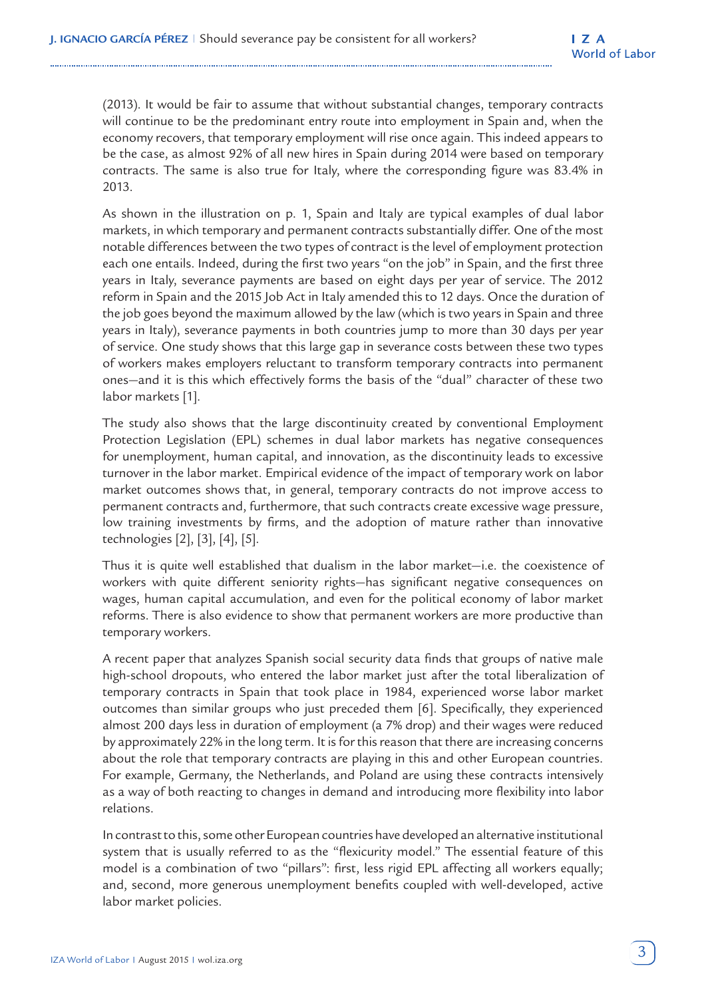(2013). It would be fair to assume that without substantial changes, temporary contracts will continue to be the predominant entry route into employment in Spain and, when the economy recovers, that temporary employment will rise once again. This indeed appears to be the case, as almost 92% of all new hires in Spain during 2014 were based on temporary contracts. The same is also true for Italy, where the corresponding figure was 83.4% in 2013.

As shown in the illustration on p. 1, Spain and Italy are typical examples of dual labor markets, in which temporary and permanent contracts substantially differ. One of the most notable differences between the two types of contract is the level of employment protection each one entails. Indeed, during the first two years "on the job" in Spain, and the first three years in Italy, severance payments are based on eight days per year of service. The 2012 reform in Spain and the 2015 Job Act in Italy amended this to 12 days. Once the duration of the job goes beyond the maximum allowed by the law (which is two years in Spain and three years in Italy), severance payments in both countries jump to more than 30 days per year of service. One study shows that this large gap in severance costs between these two types of workers makes employers reluctant to transform temporary contracts into permanent ones—and it is this which effectively forms the basis of the "dual" character of these two labor markets [1].

The study also shows that the large discontinuity created by conventional Employment Protection Legislation (EPL) schemes in dual labor markets has negative consequences for unemployment, human capital, and innovation, as the discontinuity leads to excessive turnover in the labor market. Empirical evidence of the impact of temporary work on labor market outcomes shows that, in general, temporary contracts do not improve access to permanent contracts and, furthermore, that such contracts create excessive wage pressure, low training investments by firms, and the adoption of mature rather than innovative technologies [2], [3], [4], [5].

Thus it is quite well established that dualism in the labor market—i.e. the coexistence of workers with quite different seniority rights—has significant negative consequences on wages, human capital accumulation, and even for the political economy of labor market reforms. There is also evidence to show that permanent workers are more productive than temporary workers.

A recent paper that analyzes Spanish social security data finds that groups of native male high-school dropouts, who entered the labor market just after the total liberalization of temporary contracts in Spain that took place in 1984, experienced worse labor market outcomes than similar groups who just preceded them [6]. Specifically, they experienced almost 200 days less in duration of employment (a 7% drop) and their wages were reduced by approximately 22% in the long term. It is for this reason that there are increasing concerns about the role that temporary contracts are playing in this and other European countries. For example, Germany, the Netherlands, and Poland are using these contracts intensively as a way of both reacting to changes in demand and introducing more flexibility into labor relations.

In contrast to this, some other European countries have developed an alternative institutional system that is usually referred to as the "flexicurity model." The essential feature of this model is a combination of two "pillars": first, less rigid EPL affecting all workers equally; and, second, more generous unemployment benefits coupled with well-developed, active labor market policies.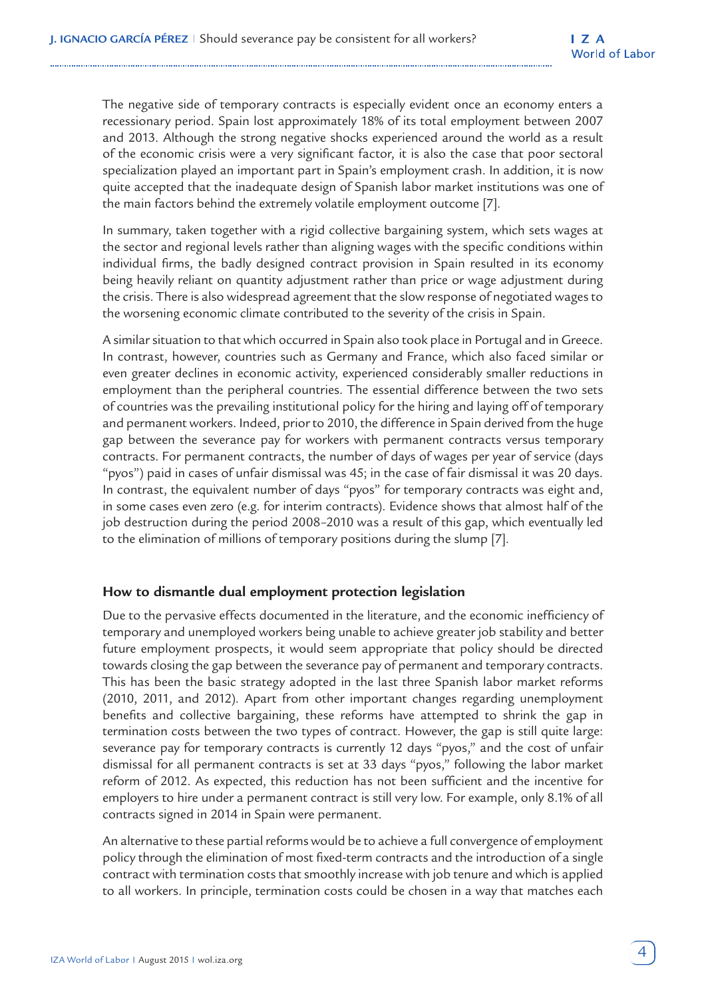The negative side of temporary contracts is especially evident once an economy enters a recessionary period. Spain lost approximately 18% of its total employment between 2007 and 2013. Although the strong negative shocks experienced around the world as a result of the economic crisis were a very significant factor, it is also the case that poor sectoral specialization played an important part in Spain's employment crash. In addition, it is now quite accepted that the inadequate design of Spanish labor market institutions was one of the main factors behind the extremely volatile employment outcome [7].

In summary, taken together with a rigid collective bargaining system, which sets wages at the sector and regional levels rather than aligning wages with the specific conditions within individual firms, the badly designed contract provision in Spain resulted in its economy being heavily reliant on quantity adjustment rather than price or wage adjustment during the crisis. There is also widespread agreement that the slow response of negotiated wages to the worsening economic climate contributed to the severity of the crisis in Spain.

A similar situation to that which occurred in Spain also took place in Portugal and in Greece. In contrast, however, countries such as Germany and France, which also faced similar or even greater declines in economic activity, experienced considerably smaller reductions in employment than the peripheral countries. The essential difference between the two sets of countries was the prevailing institutional policy for the hiring and laying off of temporary and permanent workers. Indeed, prior to 2010, the difference in Spain derived from the huge gap between the severance pay for workers with permanent contracts versus temporary contracts. For permanent contracts, the number of days of wages per year of service (days "pyos") paid in cases of unfair dismissal was 45; in the case of fair dismissal it was 20 days. In contrast, the equivalent number of days "pyos" for temporary contracts was eight and, in some cases even zero (e.g. for interim contracts). Evidence shows that almost half of the job destruction during the period 2008–2010 was a result of this gap, which eventually led to the elimination of millions of temporary positions during the slump [7].

## **How to dismantle dual employment protection legislation**

Due to the pervasive effects documented in the literature, and the economic inefficiency of temporary and unemployed workers being unable to achieve greater job stability and better future employment prospects, it would seem appropriate that policy should be directed towards closing the gap between the severance pay of permanent and temporary contracts. This has been the basic strategy adopted in the last three Spanish labor market reforms (2010, 2011, and 2012). Apart from other important changes regarding unemployment benefits and collective bargaining, these reforms have attempted to shrink the gap in termination costs between the two types of contract. However, the gap is still quite large: severance pay for temporary contracts is currently 12 days "pyos," and the cost of unfair dismissal for all permanent contracts is set at 33 days "pyos," following the labor market reform of 2012. As expected, this reduction has not been sufficient and the incentive for employers to hire under a permanent contract is still very low. For example, only 8.1% of all contracts signed in 2014 in Spain were permanent.

An alternative to these partial reforms would be to achieve a full convergence of employment policy through the elimination of most fixed-term contracts and the introduction of a single contract with termination costs that smoothly increase with job tenure and which is applied to all workers. In principle, termination costs could be chosen in a way that matches each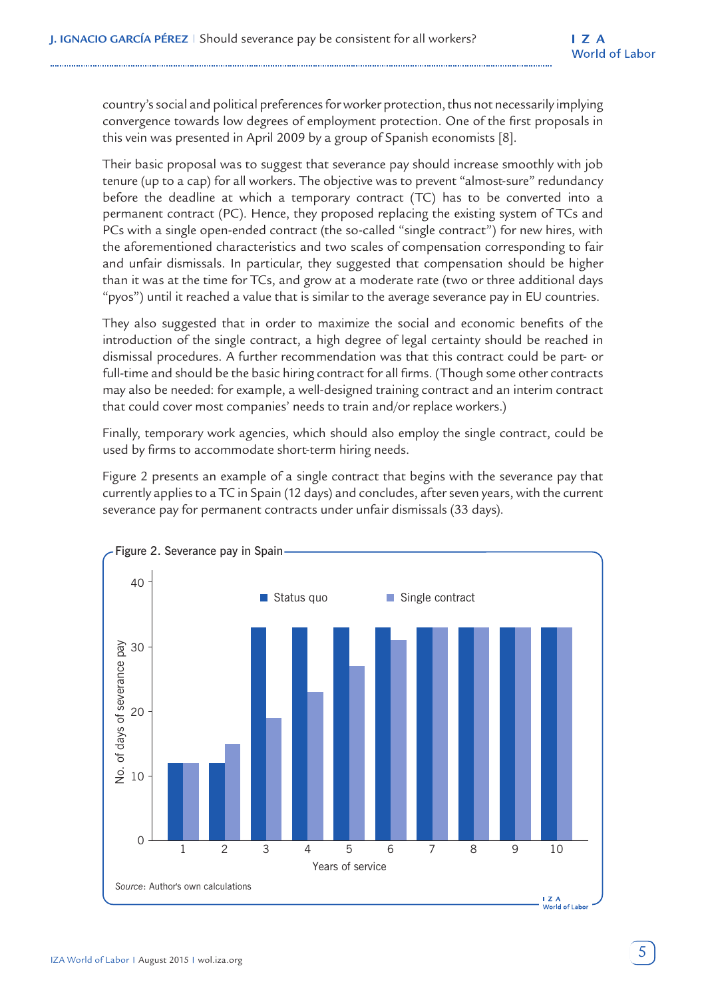country's social and political preferences for worker protection, thus not necessarily implying convergence towards low degrees of employment protection. One of the first proposals in this vein was presented in April 2009 by a group of Spanish economists [8].

Their basic proposal was to suggest that severance pay should increase smoothly with job tenure (up to a cap) for all workers. The objective was to prevent "almost-sure" redundancy before the deadline at which a temporary contract (TC) has to be converted into a permanent contract (PC). Hence, they proposed replacing the existing system of TCs and PCs with a single open-ended contract (the so-called "single contract") for new hires, with the aforementioned characteristics and two scales of compensation corresponding to fair and unfair dismissals. In particular, they suggested that compensation should be higher than it was at the time for TCs, and grow at a moderate rate (two or three additional days "pyos") until it reached a value that is similar to the average severance pay in EU countries.

They also suggested that in order to maximize the social and economic benefits of the introduction of the single contract, a high degree of legal certainty should be reached in dismissal procedures. A further recommendation was that this contract could be part- or full-time and should be the basic hiring contract for all firms. (Though some other contracts may also be needed: for example, a well-designed training contract and an interim contract that could cover most companies' needs to train and/or replace workers.)

Finally, temporary work agencies, which should also employ the single contract, could be used by firms to accommodate short-term hiring needs.

Figure 2 presents an example of a single contract that begins with the severance pay that currently applies to a TC in Spain (12 days) and concludes, after seven years, with the current severance pay for permanent contracts under unfair dismissals (33 days).

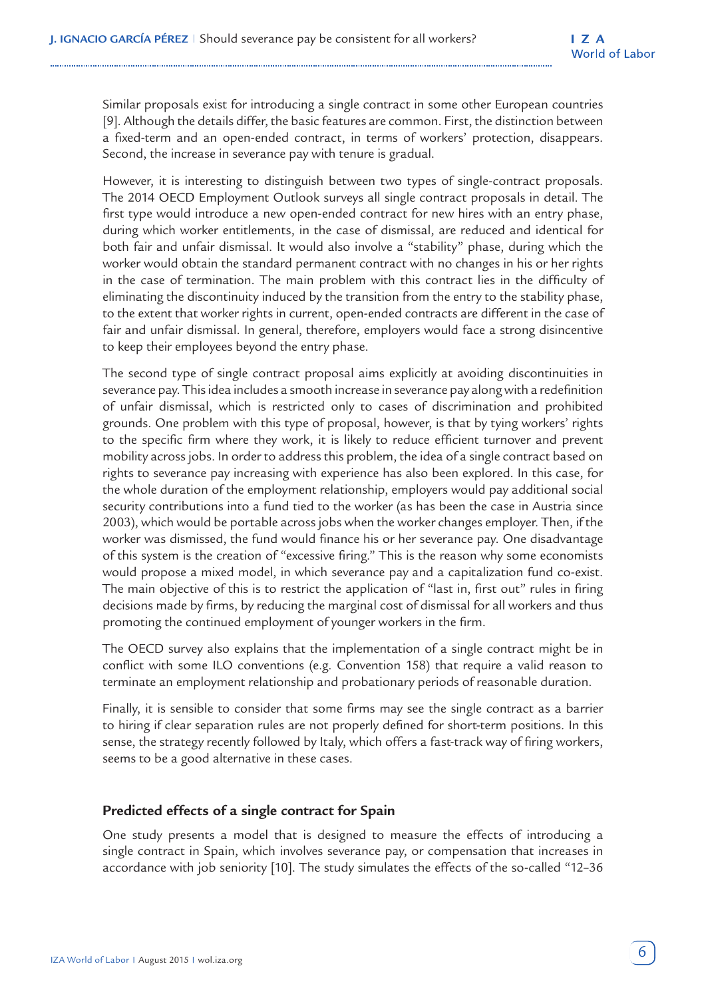Similar proposals exist for introducing a single contract in some other European countries [9]. Although the details differ, the basic features are common. First, the distinction between a fixed-term and an open-ended contract, in terms of workers' protection, disappears. Second, the increase in severance pay with tenure is gradual.

However, it is interesting to distinguish between two types of single-contract proposals. The 2014 OECD Employment Outlook surveys all single contract proposals in detail. The first type would introduce a new open-ended contract for new hires with an entry phase, during which worker entitlements, in the case of dismissal, are reduced and identical for both fair and unfair dismissal. It would also involve a "stability" phase, during which the worker would obtain the standard permanent contract with no changes in his or her rights in the case of termination. The main problem with this contract lies in the difficulty of eliminating the discontinuity induced by the transition from the entry to the stability phase, to the extent that worker rights in current, open-ended contracts are different in the case of fair and unfair dismissal. In general, therefore, employers would face a strong disincentive to keep their employees beyond the entry phase.

The second type of single contract proposal aims explicitly at avoiding discontinuities in severance pay. This idea includes a smooth increase in severance pay along with a redefinition of unfair dismissal, which is restricted only to cases of discrimination and prohibited grounds. One problem with this type of proposal, however, is that by tying workers' rights to the specific firm where they work, it is likely to reduce efficient turnover and prevent mobility across jobs. In order to address this problem, the idea of a single contract based on rights to severance pay increasing with experience has also been explored. In this case, for the whole duration of the employment relationship, employers would pay additional social security contributions into a fund tied to the worker (as has been the case in Austria since 2003), which would be portable across jobs when the worker changes employer. Then, if the worker was dismissed, the fund would finance his or her severance pay. One disadvantage of this system is the creation of "excessive firing." This is the reason why some economists would propose a mixed model, in which severance pay and a capitalization fund co-exist. The main objective of this is to restrict the application of "last in, first out" rules in firing decisions made by firms, by reducing the marginal cost of dismissal for all workers and thus promoting the continued employment of younger workers in the firm.

The OECD survey also explains that the implementation of a single contract might be in conflict with some ILO conventions (e.g. Convention 158) that require a valid reason to terminate an employment relationship and probationary periods of reasonable duration.

Finally, it is sensible to consider that some firms may see the single contract as a barrier to hiring if clear separation rules are not properly defined for short-term positions. In this sense, the strategy recently followed by Italy, which offers a fast-track way of firing workers, seems to be a good alternative in these cases.

## **Predicted effects of a single contract for Spain**

One study presents a model that is designed to measure the effects of introducing a single contract in Spain, which involves severance pay, or compensation that increases in accordance with job seniority [10]. The study simulates the effects of the so-called "12–36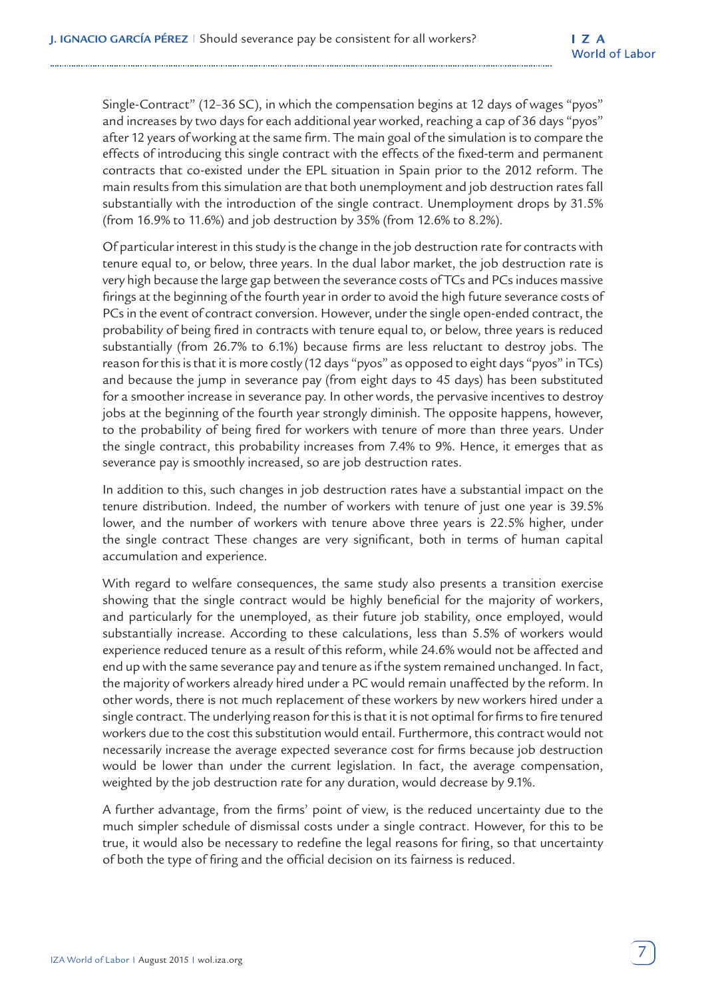Single-Contract" (12–36 SC), in which the compensation begins at 12 days of wages "pyos" and increases by two days for each additional year worked, reaching a cap of 36 days "pyos" after 12 years of working at the same firm. The main goal of the simulation is to compare the effects of introducing this single contract with the effects of the fixed-term and permanent contracts that co-existed under the EPL situation in Spain prior to the 2012 reform. The main results from this simulation are that both unemployment and job destruction rates fall substantially with the introduction of the single contract. Unemployment drops by 31.5% (from 16.9% to 11.6%) and job destruction by 35% (from 12.6% to 8.2%).

Of particular interest in this study is the change in the job destruction rate for contracts with tenure equal to, or below, three years. In the dual labor market, the job destruction rate is very high because the large gap between the severance costs of TCs and PCs induces massive firings at the beginning of the fourth year in order to avoid the high future severance costs of PCs in the event of contract conversion. However, under the single open-ended contract, the probability of being fired in contracts with tenure equal to, or below, three years is reduced substantially (from 26.7% to 6.1%) because firms are less reluctant to destroy jobs. The reason for this is that it is more costly (12 days "pyos" as opposed to eight days "pyos" in TCs) and because the jump in severance pay (from eight days to 45 days) has been substituted for a smoother increase in severance pay. In other words, the pervasive incentives to destroy jobs at the beginning of the fourth year strongly diminish. The opposite happens, however, to the probability of being fired for workers with tenure of more than three years. Under the single contract, this probability increases from 7.4% to 9%. Hence, it emerges that as severance pay is smoothly increased, so are job destruction rates.

In addition to this, such changes in job destruction rates have a substantial impact on the tenure distribution. Indeed, the number of workers with tenure of just one year is 39.5% lower, and the number of workers with tenure above three years is 22.5% higher, under the single contract These changes are very significant, both in terms of human capital accumulation and experience.

With regard to welfare consequences, the same study also presents a transition exercise showing that the single contract would be highly beneficial for the majority of workers, and particularly for the unemployed, as their future job stability, once employed, would substantially increase. According to these calculations, less than 5.5% of workers would experience reduced tenure as a result of this reform, while 24.6% would not be affected and end up with the same severance pay and tenure as if the system remained unchanged. In fact, the majority of workers already hired under a PC would remain unaffected by the reform. In other words, there is not much replacement of these workers by new workers hired under a single contract. The underlying reason for this is that it is not optimal for firms to fire tenured workers due to the cost this substitution would entail. Furthermore, this contract would not necessarily increase the average expected severance cost for firms because job destruction would be lower than under the current legislation. In fact, the average compensation, weighted by the job destruction rate for any duration, would decrease by 9.1%.

A further advantage, from the firms' point of view, is the reduced uncertainty due to the much simpler schedule of dismissal costs under a single contract. However, for this to be true, it would also be necessary to redefine the legal reasons for firing, so that uncertainty of both the type of firing and the official decision on its fairness is reduced.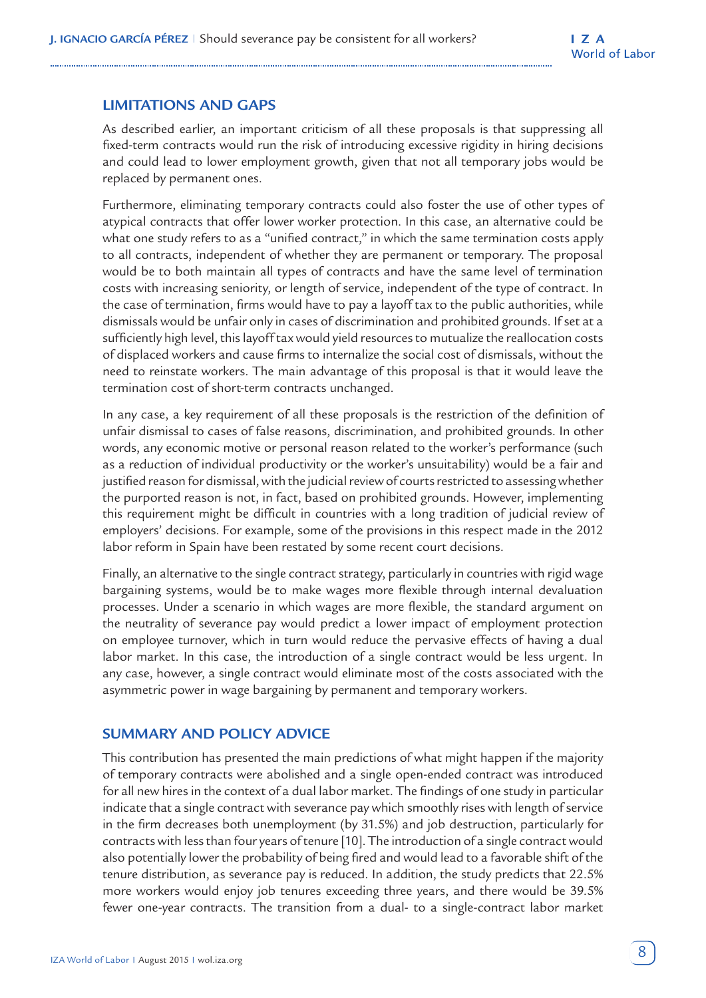## **LIMITATIONS AND GAPS**

As described earlier, an important criticism of all these proposals is that suppressing all fixed-term contracts would run the risk of introducing excessive rigidity in hiring decisions and could lead to lower employment growth, given that not all temporary jobs would be replaced by permanent ones.

Furthermore, eliminating temporary contracts could also foster the use of other types of atypical contracts that offer lower worker protection. In this case, an alternative could be what one study refers to as a "unified contract," in which the same termination costs apply to all contracts, independent of whether they are permanent or temporary. The proposal would be to both maintain all types of contracts and have the same level of termination costs with increasing seniority, or length of service, independent of the type of contract. In the case of termination, firms would have to pay a layoff tax to the public authorities, while dismissals would be unfair only in cases of discrimination and prohibited grounds. If set at a sufficiently high level, this layoff tax would yield resources to mutualize the reallocation costs of displaced workers and cause firms to internalize the social cost of dismissals, without the need to reinstate workers. The main advantage of this proposal is that it would leave the termination cost of short-term contracts unchanged.

In any case, a key requirement of all these proposals is the restriction of the definition of unfair dismissal to cases of false reasons, discrimination, and prohibited grounds. In other words, any economic motive or personal reason related to the worker's performance (such as a reduction of individual productivity or the worker's unsuitability) would be a fair and justified reason for dismissal, with the judicial review of courts restricted to assessing whether the purported reason is not, in fact, based on prohibited grounds. However, implementing this requirement might be difficult in countries with a long tradition of judicial review of employers' decisions. For example, some of the provisions in this respect made in the 2012 labor reform in Spain have been restated by some recent court decisions.

Finally, an alternative to the single contract strategy, particularly in countries with rigid wage bargaining systems, would be to make wages more flexible through internal devaluation processes. Under a scenario in which wages are more flexible, the standard argument on the neutrality of severance pay would predict a lower impact of employment protection on employee turnover, which in turn would reduce the pervasive effects of having a dual labor market. In this case, the introduction of a single contract would be less urgent. In any case, however, a single contract would eliminate most of the costs associated with the asymmetric power in wage bargaining by permanent and temporary workers.

## **SUMMARY AND POLICY ADVICE**

This contribution has presented the main predictions of what might happen if the majority of temporary contracts were abolished and a single open-ended contract was introduced for all new hires in the context of a dual labor market. The findings of one study in particular indicate that a single contract with severance pay which smoothly rises with length of service in the firm decreases both unemployment (by 31.5%) and job destruction, particularly for contracts with less than four years of tenure [10]. The introduction of a single contract would also potentially lower the probability of being fired and would lead to a favorable shift of the tenure distribution, as severance pay is reduced. In addition, the study predicts that 22.5% more workers would enjoy job tenures exceeding three years, and there would be 39.5% fewer one-year contracts. The transition from a dual- to a single-contract labor market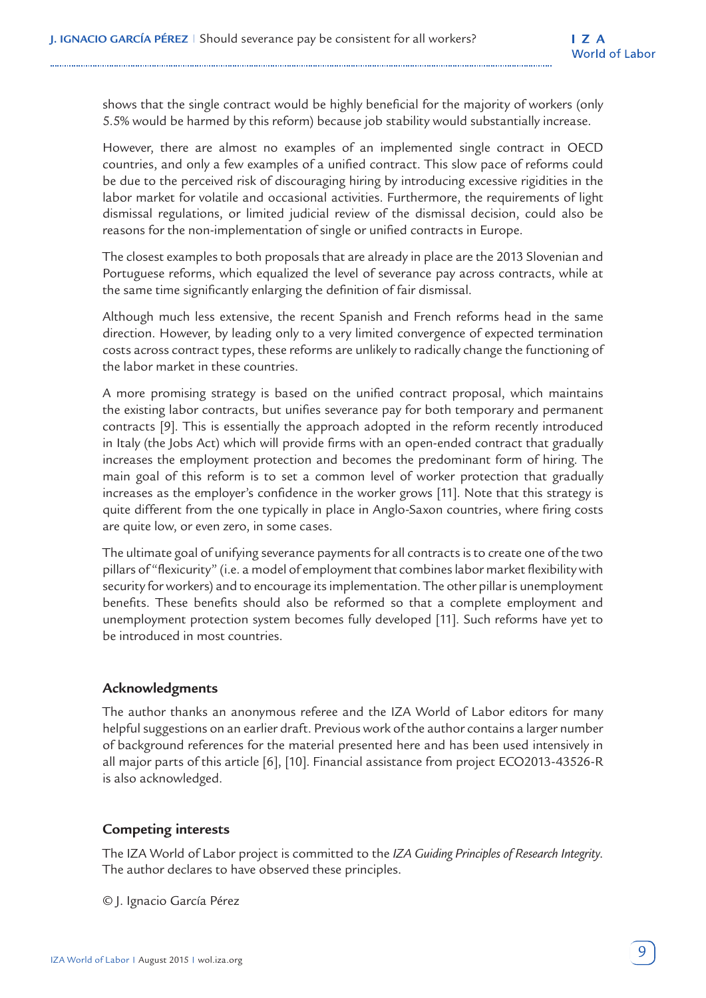shows that the single contract would be highly beneficial for the majority of workers (only 5.5% would be harmed by this reform) because job stability would substantially increase.

However, there are almost no examples of an implemented single contract in OECD countries, and only a few examples of a unified contract. This slow pace of reforms could be due to the perceived risk of discouraging hiring by introducing excessive rigidities in the labor market for volatile and occasional activities. Furthermore, the requirements of light dismissal regulations, or limited judicial review of the dismissal decision, could also be reasons for the non-implementation of single or unified contracts in Europe.

The closest examples to both proposals that are already in place are the 2013 Slovenian and Portuguese reforms, which equalized the level of severance pay across contracts, while at the same time significantly enlarging the definition of fair dismissal.

Although much less extensive, the recent Spanish and French reforms head in the same direction. However, by leading only to a very limited convergence of expected termination costs across contract types, these reforms are unlikely to radically change the functioning of the labor market in these countries.

A more promising strategy is based on the unified contract proposal, which maintains the existing labor contracts, but unifies severance pay for both temporary and permanent contracts [9]. This is essentially the approach adopted in the reform recently introduced in Italy (the Jobs Act) which will provide firms with an open-ended contract that gradually increases the employment protection and becomes the predominant form of hiring. The main goal of this reform is to set a common level of worker protection that gradually increases as the employer's confidence in the worker grows [11]. Note that this strategy is quite different from the one typically in place in Anglo-Saxon countries, where firing costs are quite low, or even zero, in some cases.

The ultimate goal of unifying severance payments for all contracts is to create one of the two pillars of "flexicurity" (i.e. a model of employment that combines labor market flexibility with security for workers) and to encourage its implementation. The other pillar is unemployment benefits. These benefits should also be reformed so that a complete employment and unemployment protection system becomes fully developed [11]. Such reforms have yet to be introduced in most countries.

## **Acknowledgments**

The author thanks an anonymous referee and the IZA World of Labor editors for many helpful suggestions on an earlier draft. Previous work of the author contains a larger number of background references for the material presented here and has been used intensively in all major parts of this article [6], [10]. Financial assistance from project ECO2013-43526-R is also acknowledged.

## **Competing interests**

The IZA World of Labor project is committed to the *IZA Guiding Principles of Research Integrity*. The author declares to have observed these principles.

© J. Ignacio García Pérez